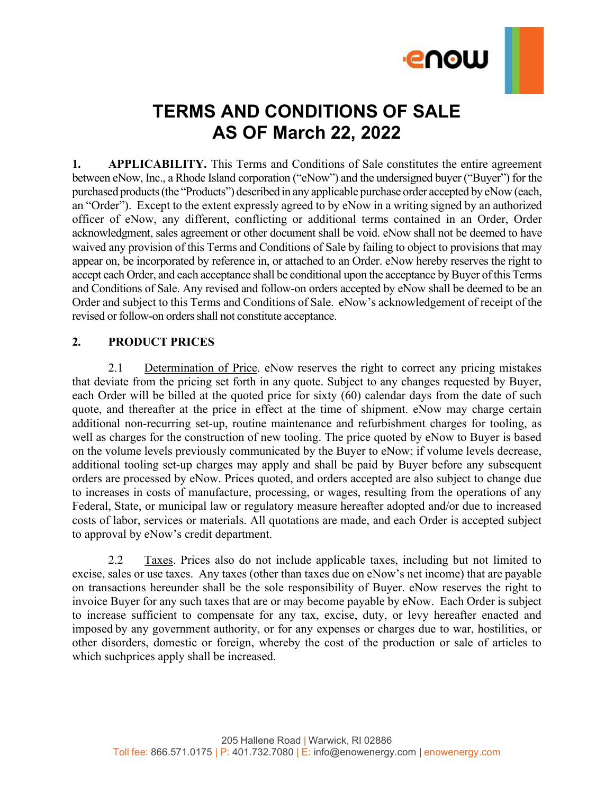

# **TERMS AND CONDITIONS OF SALE AS OF March 22, 2022**

**1. APPLICABILITY.** This Terms and Conditions of Sale constitutes the entire agreement between eNow, Inc., a Rhode Island corporation ("eNow") and the undersigned buyer ("Buyer") for the purchased products (the "Products") described in any applicable purchase order accepted by eNow (each, an "Order"). Except to the extent expressly agreed to by eNow in a writing signed by an authorized officer of eNow, any different, conflicting or additional terms contained in an Order, Order acknowledgment, sales agreement or other document shall be void. eNow shall not be deemed to have waived any provision of this Terms and Conditions of Sale by failing to object to provisions that may appear on, be incorporated by reference in, or attached to an Order. eNow hereby reserves the right to accept each Order, and each acceptance shall be conditional upon the acceptance by Buyer of this Terms and Conditions of Sale. Any revised and follow-on orders accepted by eNow shall be deemed to be an Order and subject to this Terms and Conditions of Sale. eNow's acknowledgement of receipt of the revised or follow-on orders shall not constitute acceptance.

# **2. PRODUCT PRICES**

2.1 Determination of Price. eNow reserves the right to correct any pricing mistakes that deviate from the pricing set forth in any quote. Subject to any changes requested by Buyer, each Order will be billed at the quoted price for sixty (60) calendar days from the date of such quote, and thereafter at the price in effect at the time of shipment. eNow may charge certain additional non-recurring set-up, routine maintenance and refurbishment charges for tooling, as well as charges for the construction of new tooling. The price quoted by eNow to Buyer is based on the volume levels previously communicated by the Buyer to eNow; if volume levels decrease, additional tooling set-up charges may apply and shall be paid by Buyer before any subsequent orders are processed by eNow. Prices quoted, and orders accepted are also subject to change due to increases in costs of manufacture, processing, or wages, resulting from the operations of any Federal, State, or municipal law or regulatory measure hereafter adopted and/or due to increased costs of labor, services or materials. All quotations are made, and each Order is accepted subject to approval by eNow's credit department.

2.2 Taxes. Prices also do not include applicable taxes, including but not limited to excise, sales or use taxes. Any taxes (other than taxes due on eNow's net income) that are payable on transactions hereunder shall be the sole responsibility of Buyer. eNow reserves the right to invoice Buyer for any such taxes that are or may become payable by eNow. Each Order is subject to increase sufficient to compensate for any tax, excise, duty, or levy hereafter enacted and imposed by any government authority, or for any expenses or charges due to war, hostilities, or other disorders, domestic or foreign, whereby the cost of the production or sale of articles to which suchprices apply shall be increased.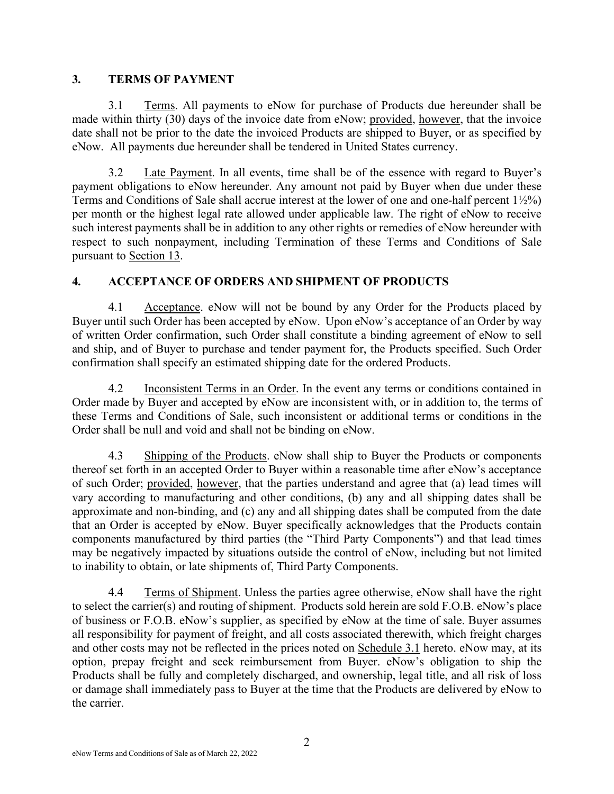## **3. TERMS OF PAYMENT**

3.1 Terms. All payments to eNow for purchase of Products due hereunder shall be made within thirty (30) days of the invoice date from eNow; provided, however, that the invoice date shall not be prior to the date the invoiced Products are shipped to Buyer, or as specified by eNow. All payments due hereunder shall be tendered in United States currency.

3.2 Late Payment. In all events, time shall be of the essence with regard to Buyer's payment obligations to eNow hereunder. Any amount not paid by Buyer when due under these Terms and Conditions of Sale shall accrue interest at the lower of one and one-half percent 1½%) per month or the highest legal rate allowed under applicable law. The right of eNow to receive such interest payments shall be in addition to any other rights or remedies of eNow hereunder with respect to such nonpayment, including Termination of these Terms and Conditions of Sale pursuant to Section 13.

# **4. ACCEPTANCE OF ORDERS AND SHIPMENT OF PRODUCTS**

4.1 Acceptance. eNow will not be bound by any Order for the Products placed by Buyer until such Order has been accepted by eNow. Upon eNow's acceptance of an Order by way of written Order confirmation, such Order shall constitute a binding agreement of eNow to sell and ship, and of Buyer to purchase and tender payment for, the Products specified. Such Order confirmation shall specify an estimated shipping date for the ordered Products.

4.2 Inconsistent Terms in an Order. In the event any terms or conditions contained in Order made by Buyer and accepted by eNow are inconsistent with, or in addition to, the terms of these Terms and Conditions of Sale, such inconsistent or additional terms or conditions in the Order shall be null and void and shall not be binding on eNow.

4.3 Shipping of the Products. eNow shall ship to Buyer the Products or components thereof set forth in an accepted Order to Buyer within a reasonable time after eNow's acceptance of such Order; provided, however, that the parties understand and agree that (a) lead times will vary according to manufacturing and other conditions, (b) any and all shipping dates shall be approximate and non-binding, and (c) any and all shipping dates shall be computed from the date that an Order is accepted by eNow. Buyer specifically acknowledges that the Products contain components manufactured by third parties (the "Third Party Components") and that lead times may be negatively impacted by situations outside the control of eNow, including but not limited to inability to obtain, or late shipments of, Third Party Components.

4.4 Terms of Shipment. Unless the parties agree otherwise, eNow shall have the right to select the carrier(s) and routing of shipment. Products sold herein are sold F.O.B. eNow's place of business or F.O.B. eNow's supplier, as specified by eNow at the time of sale. Buyer assumes all responsibility for payment of freight, and all costs associated therewith, which freight charges and other costs may not be reflected in the prices noted on Schedule 3.1 hereto. eNow may, at its option, prepay freight and seek reimbursement from Buyer. eNow's obligation to ship the Products shall be fully and completely discharged, and ownership, legal title, and all risk of loss or damage shall immediately pass to Buyer at the time that the Products are delivered by eNow to the carrier.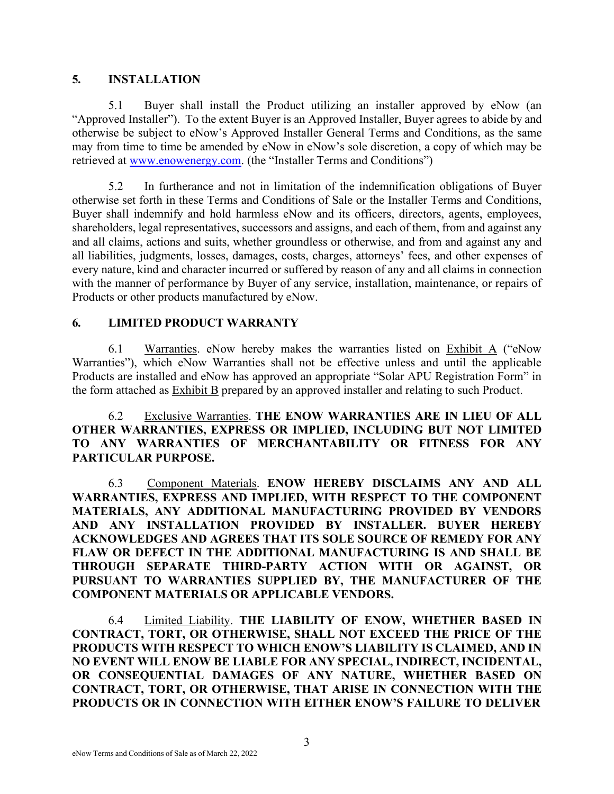#### **5. INSTALLATION**

5.1 Buyer shall install the Product utilizing an installer approved by eNow (an "Approved Installer"). To the extent Buyer is an Approved Installer, Buyer agrees to abide by and otherwise be subject to eNow's Approved Installer General Terms and Conditions, as the same may from time to time be amended by eNow in eNow's sole discretion, a copy of which may be retrieved at [www.enowenergy.com.](http://www.enowenergy.com/) (the "Installer Terms and Conditions")

5.2 In furtherance and not in limitation of the indemnification obligations of Buyer otherwise set forth in these Terms and Conditions of Sale or the Installer Terms and Conditions, Buyer shall indemnify and hold harmless eNow and its officers, directors, agents, employees, shareholders, legal representatives, successors and assigns, and each of them, from and against any and all claims, actions and suits, whether groundless or otherwise, and from and against any and all liabilities, judgments, losses, damages, costs, charges, attorneys' fees, and other expenses of every nature, kind and character incurred or suffered by reason of any and all claims in connection with the manner of performance by Buyer of any service, installation, maintenance, or repairs of Products or other products manufactured by eNow.

## **6. LIMITED PRODUCT WARRANTY**

6.1 Warranties. eNow hereby makes the warranties listed on Exhibit A ("eNow Warranties"), which eNow Warranties shall not be effective unless and until the applicable Products are installed and eNow has approved an appropriate "Solar APU Registration Form" in the form attached as Exhibit B prepared by an approved installer and relating to such Product.

6.2 Exclusive Warranties. **THE ENOW WARRANTIES ARE IN LIEU OF ALL OTHER WARRANTIES, EXPRESS OR IMPLIED, INCLUDING BUT NOT LIMITED TO ANY WARRANTIES OF MERCHANTABILITY OR FITNESS FOR ANY PARTICULAR PURPOSE.**

6.3 Component Materials. **ENOW HEREBY DISCLAIMS ANY AND ALL WARRANTIES, EXPRESS AND IMPLIED, WITH RESPECT TO THE COMPONENT MATERIALS, ANY ADDITIONAL MANUFACTURING PROVIDED BY VENDORS AND ANY INSTALLATION PROVIDED BY INSTALLER. BUYER HEREBY ACKNOWLEDGES AND AGREES THAT ITS SOLE SOURCE OF REMEDY FOR ANY FLAW OR DEFECT IN THE ADDITIONAL MANUFACTURING IS AND SHALL BE THROUGH SEPARATE THIRD-PARTY ACTION WITH OR AGAINST, OR PURSUANT TO WARRANTIES SUPPLIED BY, THE MANUFACTURER OF THE COMPONENT MATERIALS OR APPLICABLE VENDORS.**

6.4 Limited Liability. **THE LIABILITY OF ENOW, WHETHER BASED IN CONTRACT, TORT, OR OTHERWISE, SHALL NOT EXCEED THE PRICE OF THE PRODUCTS WITH RESPECT TO WHICH ENOW'S LIABILITY IS CLAIMED, AND IN NO EVENT WILL ENOW BE LIABLE FOR ANY SPECIAL, INDIRECT, INCIDENTAL, OR CONSEQUENTIAL DAMAGES OF ANY NATURE, WHETHER BASED ON CONTRACT, TORT, OR OTHERWISE, THAT ARISE IN CONNECTION WITH THE PRODUCTS OR IN CONNECTION WITH EITHER ENOW'S FAILURE TO DELIVER**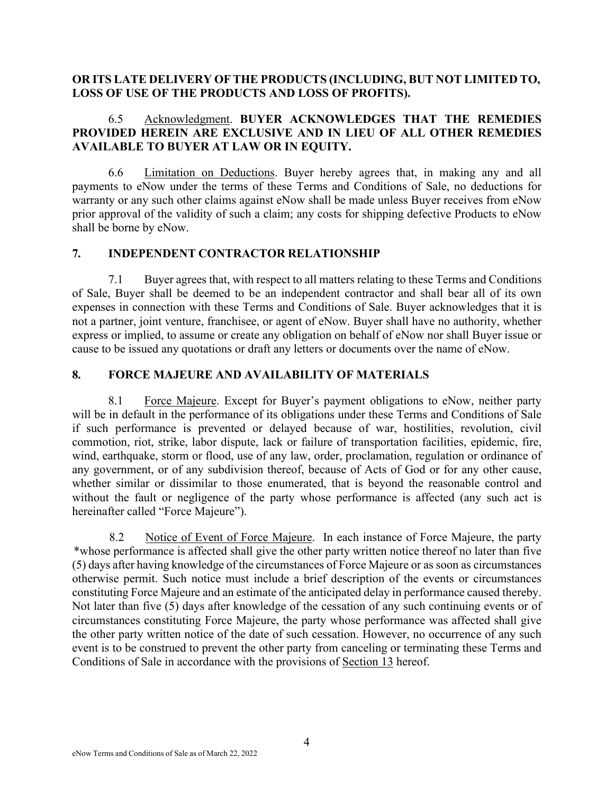#### **OR ITS LATE DELIVERY OF THE PRODUCTS (INCLUDING, BUT NOT LIMITED TO, LOSS OF USE OF THE PRODUCTS AND LOSS OF PROFITS).**

#### 6.5 Acknowledgment. **BUYER ACKNOWLEDGES THAT THE REMEDIES PROVIDED HEREIN ARE EXCLUSIVE AND IN LIEU OF ALL OTHER REMEDIES AVAILABLE TO BUYER AT LAW OR IN EQUITY.**

6.6 Limitation on Deductions. Buyer hereby agrees that, in making any and all payments to eNow under the terms of these Terms and Conditions of Sale, no deductions for warranty or any such other claims against eNow shall be made unless Buyer receives from eNow prior approval of the validity of such a claim; any costs for shipping defective Products to eNow shall be borne by eNow.

#### **7. INDEPENDENT CONTRACTOR RELATIONSHIP**

7.1 Buyer agrees that, with respect to all matters relating to these Terms and Conditions of Sale, Buyer shall be deemed to be an independent contractor and shall bear all of its own expenses in connection with these Terms and Conditions of Sale. Buyer acknowledges that it is not a partner, joint venture, franchisee, or agent of eNow. Buyer shall have no authority, whether express or implied, to assume or create any obligation on behalf of eNow nor shall Buyer issue or cause to be issued any quotations or draft any letters or documents over the name of eNow.

## **8. FORCE MAJEURE AND AVAILABILITY OF MATERIALS**

8.1 Force Majeure. Except for Buyer's payment obligations to eNow, neither party will be in default in the performance of its obligations under these Terms and Conditions of Sale if such performance is prevented or delayed because of war, hostilities, revolution, civil commotion, riot, strike, labor dispute, lack or failure of transportation facilities, epidemic, fire, wind, earthquake, storm or flood, use of any law, order, proclamation, regulation or ordinance of any government, or of any subdivision thereof, because of Acts of God or for any other cause, whether similar or dissimilar to those enumerated, that is beyond the reasonable control and without the fault or negligence of the party whose performance is affected (any such act is hereinafter called "Force Majeure").

8.2 Notice of Event of Force Majeure. In each instance of Force Majeure, the party \*whose performance is affected shall give the other party written notice thereof no later than five (5) days after having knowledge of the circumstances of Force Majeure or as soon as circumstances otherwise permit. Such notice must include a brief description of the events or circumstances constituting Force Majeure and an estimate of the anticipated delay in performance caused thereby. Not later than five (5) days after knowledge of the cessation of any such continuing events or of circumstances constituting Force Majeure, the party whose performance was affected shall give the other party written notice of the date of such cessation. However, no occurrence of any such event is to be construed to prevent the other party from canceling or terminating these Terms and Conditions of Sale in accordance with the provisions of Section 13 hereof.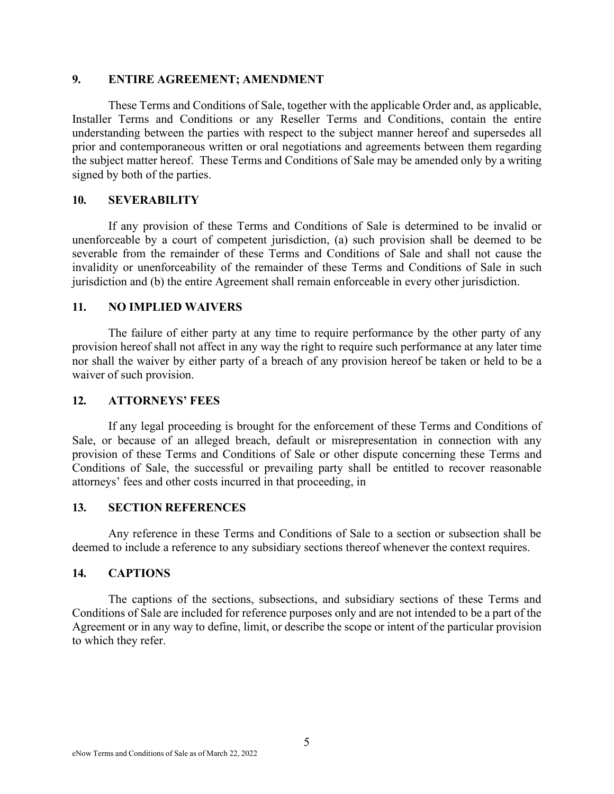#### **9. ENTIRE AGREEMENT; AMENDMENT**

These Terms and Conditions of Sale, together with the applicable Order and, as applicable, Installer Terms and Conditions or any Reseller Terms and Conditions, contain the entire understanding between the parties with respect to the subject manner hereof and supersedes all prior and contemporaneous written or oral negotiations and agreements between them regarding the subject matter hereof. These Terms and Conditions of Sale may be amended only by a writing signed by both of the parties.

#### **10. SEVERABILITY**

If any provision of these Terms and Conditions of Sale is determined to be invalid or unenforceable by a court of competent jurisdiction, (a) such provision shall be deemed to be severable from the remainder of these Terms and Conditions of Sale and shall not cause the invalidity or unenforceability of the remainder of these Terms and Conditions of Sale in such jurisdiction and (b) the entire Agreement shall remain enforceable in every other jurisdiction.

#### **11. NO IMPLIED WAIVERS**

The failure of either party at any time to require performance by the other party of any provision hereof shall not affect in any way the right to require such performance at any later time nor shall the waiver by either party of a breach of any provision hereof be taken or held to be a waiver of such provision.

#### **12. ATTORNEYS' FEES**

If any legal proceeding is brought for the enforcement of these Terms and Conditions of Sale, or because of an alleged breach, default or misrepresentation in connection with any provision of these Terms and Conditions of Sale or other dispute concerning these Terms and Conditions of Sale, the successful or prevailing party shall be entitled to recover reasonable attorneys' fees and other costs incurred in that proceeding, in

## **13. SECTION REFERENCES**

Any reference in these Terms and Conditions of Sale to a section or subsection shall be deemed to include a reference to any subsidiary sections thereof whenever the context requires.

## **14. CAPTIONS**

The captions of the sections, subsections, and subsidiary sections of these Terms and Conditions of Sale are included for reference purposes only and are not intended to be a part of the Agreement or in any way to define, limit, or describe the scope or intent of the particular provision to which they refer.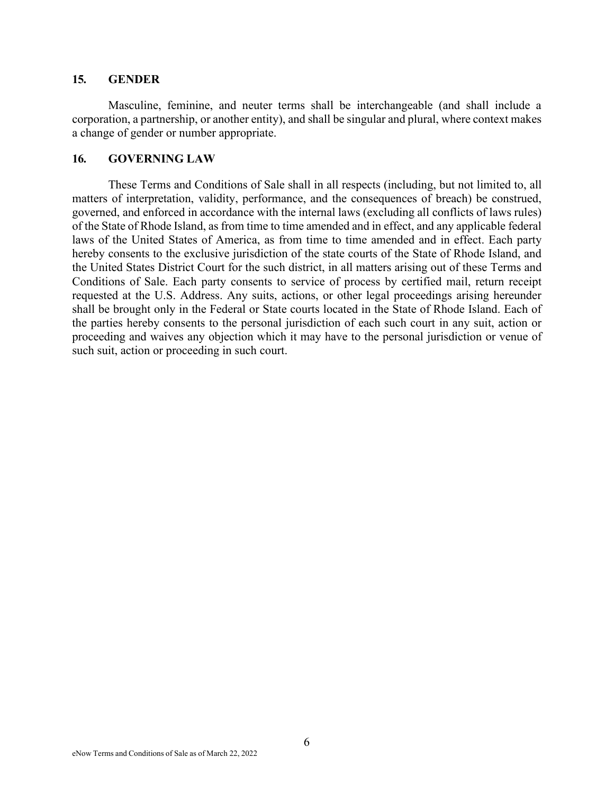#### **15. GENDER**

Masculine, feminine, and neuter terms shall be interchangeable (and shall include a corporation, a partnership, or another entity), and shall be singular and plural, where context makes a change of gender or number appropriate.

#### **16. GOVERNING LAW**

These Terms and Conditions of Sale shall in all respects (including, but not limited to, all matters of interpretation, validity, performance, and the consequences of breach) be construed, governed, and enforced in accordance with the internal laws (excluding all conflicts of laws rules) of the State of Rhode Island, as from time to time amended and in effect, and any applicable federal laws of the United States of America, as from time to time amended and in effect. Each party hereby consents to the exclusive jurisdiction of the state courts of the State of Rhode Island, and the United States District Court for the such district, in all matters arising out of these Terms and Conditions of Sale. Each party consents to service of process by certified mail, return receipt requested at the U.S. Address. Any suits, actions, or other legal proceedings arising hereunder shall be brought only in the Federal or State courts located in the State of Rhode Island. Each of the parties hereby consents to the personal jurisdiction of each such court in any suit, action or proceeding and waives any objection which it may have to the personal jurisdiction or venue of such suit, action or proceeding in such court.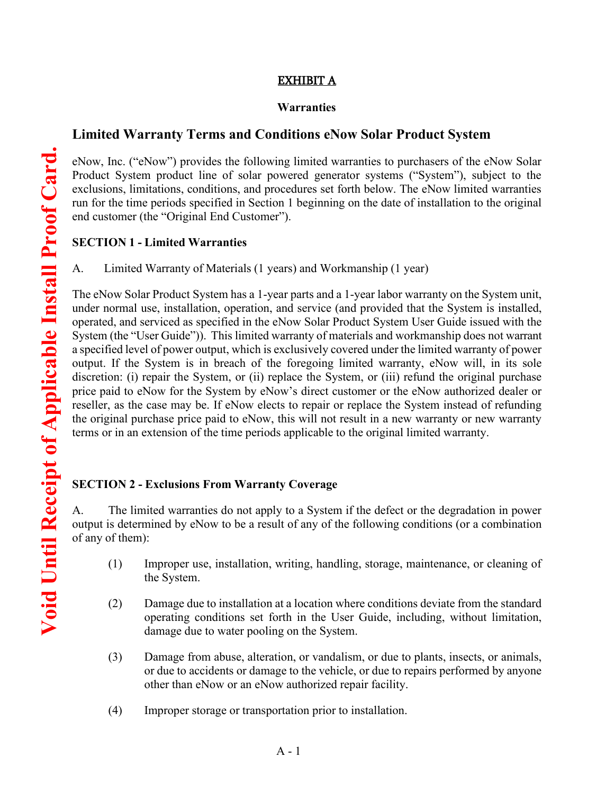#### EXHIBIT A

#### **Warranties**

## **Limited Warranty Terms and Conditions eNow Solar Product System**

eNow, Inc. ("eNow") provides the following limited warranties to purchasers of the eNow Solar Product System product line of solar powered generator systems ("System"), subject to the exclusions, limitations, conditions, and procedures set forth below. The eNow limited warranties run for the time periods specified in Section 1 beginning on the date of installation to the original end customer (the "Original End Customer").

#### **SECTION 1 - Limited Warranties**

A. Limited Warranty of Materials (1 years) and Workmanship (1 year)

The eNow Solar Product System has a 1-year parts and a 1-year labor warranty on the System unit, under normal use, installation, operation, and service (and provided that the System is installed, operated, and serviced as specified in the eNow Solar Product System User Guide issued with the System (the "User Guide")). This limited warranty of materials and workmanship does not warrant a specified level of power output, which is exclusively covered under the limited warranty of power output. If the System is in breach of the foregoing limited warranty, eNow will, in its sole discretion: (i) repair the System, or (ii) replace the System, or (iii) refund the original purchase price paid to eNow for the System by eNow's direct customer or the eNow authorized dealer or reseller, as the case may be. If eNow elects to repair or replace the System instead of refunding the original purchase price paid to eNow, this will not result in a new warranty or new warranty terms or in an extension of the time periods applicable to the original limited warranty.

## **SECTION 2 - Exclusions From Warranty Coverage**

A. The limited warranties do not apply to a System if the defect or the degradation in power output is determined by eNow to be a result of any of the following conditions (or a combination of any of them):

- (1) Improper use, installation, writing, handling, storage, maintenance, or cleaning of the System.
- (2) Damage due to installation at a location where conditions deviate from the standard operating conditions set forth in the User Guide, including, without limitation, damage due to water pooling on the System.
- (3) Damage from abuse, alteration, or vandalism, or due to plants, insects, or animals, or due to accidents or damage to the vehicle, or due to repairs performed by anyone other than eNow or an eNow authorized repair facility.
- (4) Improper storage or transportation prior to installation.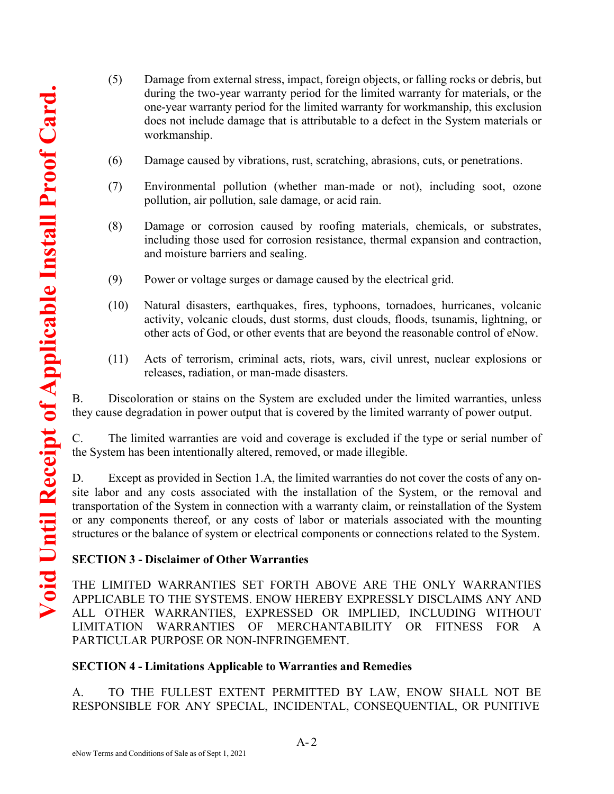- (5) Damage from external stress, impact, foreign objects, or falling rocks or debris, but during the two-year warranty period for the limited warranty for materials, or the one-year warranty period for the limited warranty for workmanship, this exclusion does not include damage that is attributable to a defect in the System materials or workmanship.
- (6) Damage caused by vibrations, rust, scratching, abrasions, cuts, or penetrations.
- (7) Environmental pollution (whether man-made or not), including soot, ozone pollution, air pollution, sale damage, or acid rain.
- (8) Damage or corrosion caused by roofing materials, chemicals, or substrates, including those used for corrosion resistance, thermal expansion and contraction, and moisture barriers and sealing.
- (9) Power or voltage surges or damage caused by the electrical grid.
- (10) Natural disasters, earthquakes, fires, typhoons, tornadoes, hurricanes, volcanic activity, volcanic clouds, dust storms, dust clouds, floods, tsunamis, lightning, or other acts of God, or other events that are beyond the reasonable control of eNow.
- (11) Acts of terrorism, criminal acts, riots, wars, civil unrest, nuclear explosions or releases, radiation, or man-made disasters.

B. Discoloration or stains on the System are excluded under the limited warranties, unless they cause degradation in power output that is covered by the limited warranty of power output.

C. The limited warranties are void and coverage is excluded if the type or serial number of the System has been intentionally altered, removed, or made illegible.

D. Except as provided in Section 1.A, the limited warranties do not cover the costs of any onsite labor and any costs associated with the installation of the System, or the removal and transportation of the System in connection with a warranty claim, or reinstallation of the System or any components thereof, or any costs of labor or materials associated with the mounting structures or the balance of system or electrical components or connections related to the System.

# **SECTION 3 - Disclaimer of Other Warranties**

THE LIMITED WARRANTIES SET FORTH ABOVE ARE THE ONLY WARRANTIES APPLICABLE TO THE SYSTEMS. ENOW HEREBY EXPRESSLY DISCLAIMS ANY AND ALL OTHER WARRANTIES, EXPRESSED OR IMPLIED, INCLUDING WITHOUT LIMITATION WARRANTIES OF MERCHANTABILITY OR FITNESS FOR A PARTICULAR PURPOSE OR NON-INFRINGEMENT.

## **SECTION 4 - Limitations Applicable to Warranties and Remedies**

A. TO THE FULLEST EXTENT PERMITTED BY LAW, ENOW SHALL NOT BE RESPONSIBLE FOR ANY SPECIAL, INCIDENTAL, CONSEQUENTIAL, OR PUNITIVE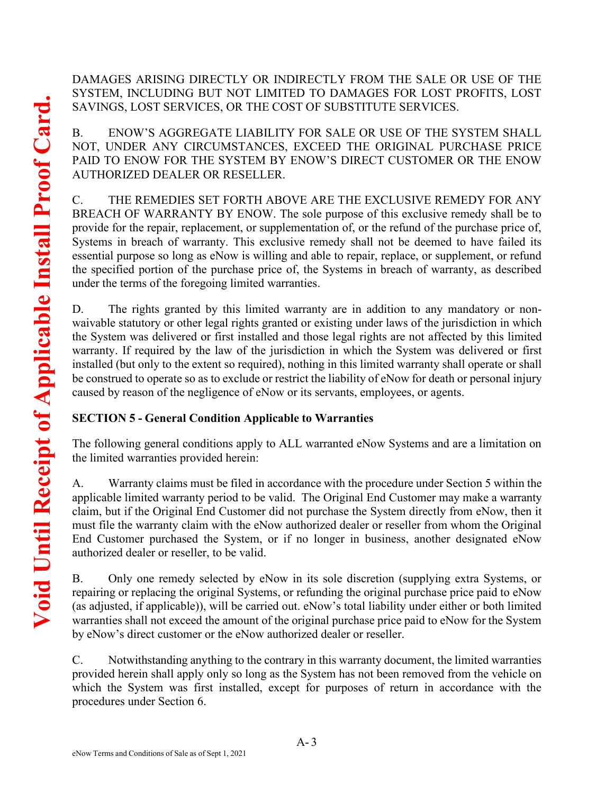DAMAGES ARISING DIRECTLY OR INDIRECTLY FROM THE SALE OR USE OF THE SYSTEM, INCLUDING BUT NOT LIMITED TO DAMAGES FOR LOST PROFITS, LOST SAVINGS, LOST SERVICES, OR THE COST OF SUBSTITUTE SERVICES.

B. ENOW'S AGGREGATE LIABILITY FOR SALE OR USE OF THE SYSTEM SHALL NOT, UNDER ANY CIRCUMSTANCES, EXCEED THE ORIGINAL PURCHASE PRICE PAID TO ENOW FOR THE SYSTEM BY ENOW'S DIRECT CUSTOMER OR THE ENOW AUTHORIZED DEALER OR RESELLER.

C. THE REMEDIES SET FORTH ABOVE ARE THE EXCLUSIVE REMEDY FOR ANY BREACH OF WARRANTY BY ENOW. The sole purpose of this exclusive remedy shall be to provide for the repair, replacement, or supplementation of, or the refund of the purchase price of, Systems in breach of warranty. This exclusive remedy shall not be deemed to have failed its essential purpose so long as eNow is willing and able to repair, replace, or supplement, or refund the specified portion of the purchase price of, the Systems in breach of warranty, as described under the terms of the foregoing limited warranties.

D. The rights granted by this limited warranty are in addition to any mandatory or nonwaivable statutory or other legal rights granted or existing under laws of the jurisdiction in which the System was delivered or first installed and those legal rights are not affected by this limited warranty. If required by the law of the jurisdiction in which the System was delivered or first installed (but only to the extent so required), nothing in this limited warranty shall operate or shall be construed to operate so as to exclude or restrict the liability of eNow for death or personal injury caused by reason of the negligence of eNow or its servants, employees, or agents.

# **SECTION 5 - General Condition Applicable to Warranties**

The following general conditions apply to ALL warranted eNow Systems and are a limitation on the limited warranties provided herein:

A. Warranty claims must be filed in accordance with the procedure under Section 5 within the applicable limited warranty period to be valid. The Original End Customer may make a warranty claim, but if the Original End Customer did not purchase the System directly from eNow, then it must file the warranty claim with the eNow authorized dealer or reseller from whom the Original End Customer purchased the System, or if no longer in business, another designated eNow authorized dealer or reseller, to be valid.

B. Only one remedy selected by eNow in its sole discretion (supplying extra Systems, or repairing or replacing the original Systems, or refunding the original purchase price paid to eNow (as adjusted, if applicable)), will be carried out. eNow's total liability under either or both limited warranties shall not exceed the amount of the original purchase price paid to eNow for the System by eNow's direct customer or the eNow authorized dealer or reseller.

C. Notwithstanding anything to the contrary in this warranty document, the limited warranties provided herein shall apply only so long as the System has not been removed from the vehicle on which the System was first installed, except for purposes of return in accordance with the procedures under Section 6.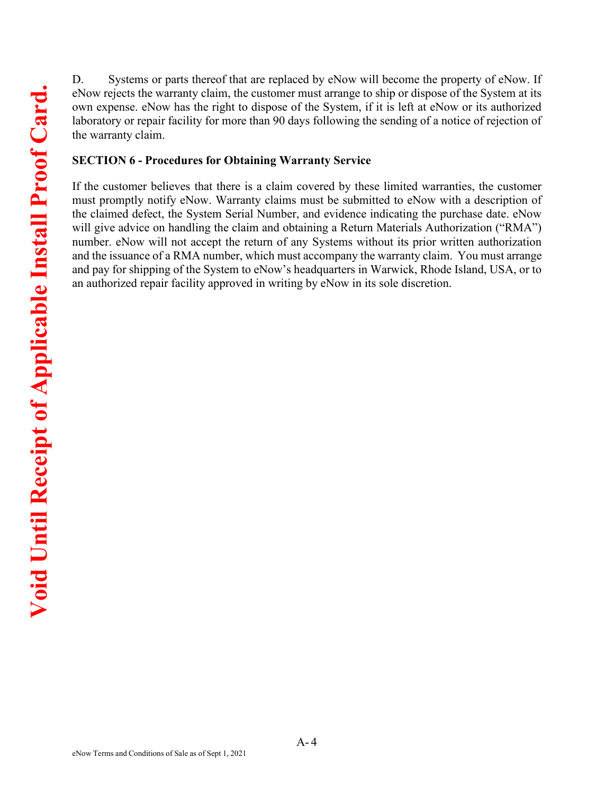D. Systems or parts thereof that are replaced by eNow will become the property of eNow. If eNow rejects the warranty claim, the customer must arrange to ship or dispose of the System at its own expense. eNow has the right to dispose of the System, if it is left at eNow or its authorized laboratory or repair facility for more than 90 days following the sending of a notice of rejection of the warranty claim.

#### **SECTION 6 - Procedures for Obtaining Warranty Service**

If the customer believes that there is a claim covered by these limited warranties, the customer must promptly notify eNow. Warranty claims must be submitted to eNow with a description of the claimed defect, the System Serial Number, and evidence indicating the purchase date. eNow will give advice on handling the claim and obtaining a Return Materials Authorization ("RMA") number. eNow will not accept the return of any Systems without its prior written authorization and the issuance of a RMA number, which must accompany the warranty claim. You must arrange and pay for shipping of the System to eNow's headquarters in Warwick, Rhode Island, USA, or to an authorized repair facility approved in writing by eNow in its sole discretion.